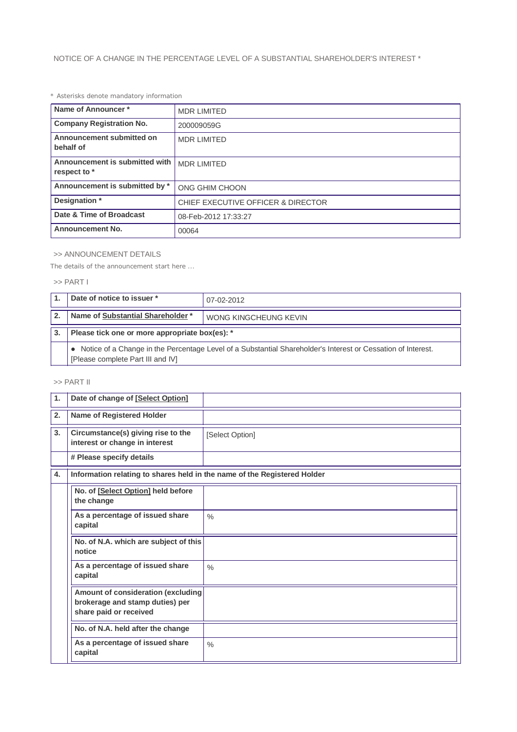*\* Asterisks denote mandatory information*

| Name of Announcer*                             | <b>MDR LIMITED</b>                 |
|------------------------------------------------|------------------------------------|
| <b>Company Registration No.</b>                | 200009059G                         |
| Announcement submitted on<br>behalf of         | <b>MDR LIMITED</b>                 |
| Announcement is submitted with<br>respect to * | <b>MDR LIMITED</b>                 |
| Announcement is submitted by *                 | ONG GHIM CHOON                     |
| Designation *                                  | CHIEF EXECUTIVE OFFICER & DIRECTOR |
| Date & Time of Broadcast                       | 08-Feb-2012 17:33:27               |
| <b>Announcement No.</b><br>00064               |                                    |

## >> ANNOUNCEMENT DETAILS

*The details of the announcement start here ...*

>> PART I

|    | Date of notice to issuer *<br>07-02-2012                                                                                                            |                       |  |
|----|-----------------------------------------------------------------------------------------------------------------------------------------------------|-----------------------|--|
|    | Name of Substantial Shareholder *                                                                                                                   | WONG KINGCHEUNG KEVIN |  |
| 3. | Please tick one or more appropriate box(es): *                                                                                                      |                       |  |
|    | • Notice of a Change in the Percentage Level of a Substantial Shareholder's Interest or Cessation of Interest.<br>[Please complete Part III and IV] |                       |  |

## >> PART II

| 1. | Date of change of [Select Option]                                                               |                 |
|----|-------------------------------------------------------------------------------------------------|-----------------|
| 2. | <b>Name of Registered Holder</b>                                                                |                 |
| 3. | Circumstance(s) giving rise to the<br>interest or change in interest                            | [Select Option] |
|    | # Please specify details                                                                        |                 |
| 4. | Information relating to shares held in the name of the Registered Holder                        |                 |
|    | No. of [Select Option] held before<br>the change                                                |                 |
|    | As a percentage of issued share<br>capital                                                      | $\frac{0}{0}$   |
|    | No. of N.A. which are subject of this<br>notice                                                 |                 |
|    | As a percentage of issued share<br>capital                                                      | $\frac{0}{0}$   |
|    | Amount of consideration (excluding<br>brokerage and stamp duties) per<br>share paid or received |                 |
|    | No. of N.A. held after the change                                                               |                 |
|    | As a percentage of issued share<br>capital                                                      | $\frac{0}{0}$   |